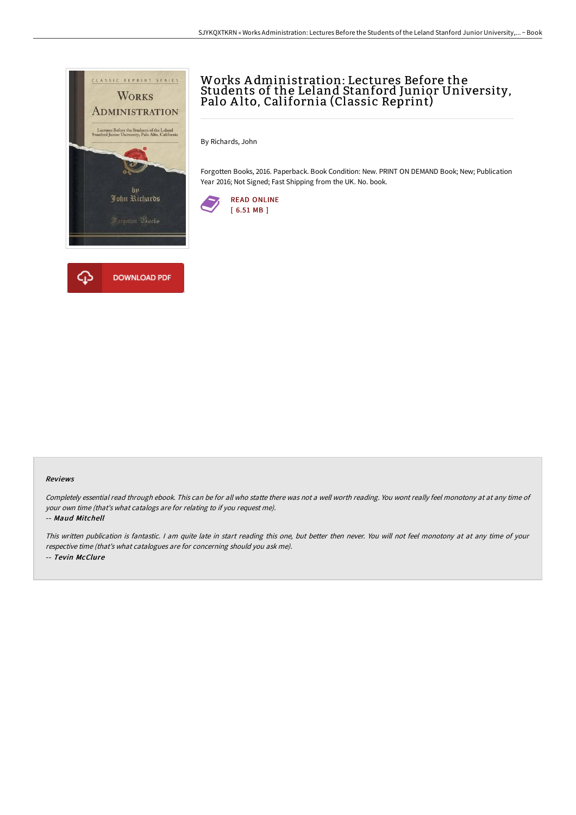

## Works A dministration: Lectures Before the Students of the Leland Stanford Junior University, Palo A lto, California (Classic Reprint)

By Richards, John

Forgotten Books, 2016. Paperback. Book Condition: New. PRINT ON DEMAND Book; New; Publication Year 2016; Not Signed; Fast Shipping from the UK. No. book.



## Reviews

Completely essential read through ebook. This can be for all who statte there was not <sup>a</sup> well worth reading. You wont really feel monotony at at any time of your own time (that's what catalogs are for relating to if you request me).

-- Maud Mitchell

This written publication is fantastic. <sup>I</sup> am quite late in start reading this one, but better then never. You will not feel monotony at at any time of your respective time (that's what catalogues are for concerning should you ask me). -- Tevin McClure